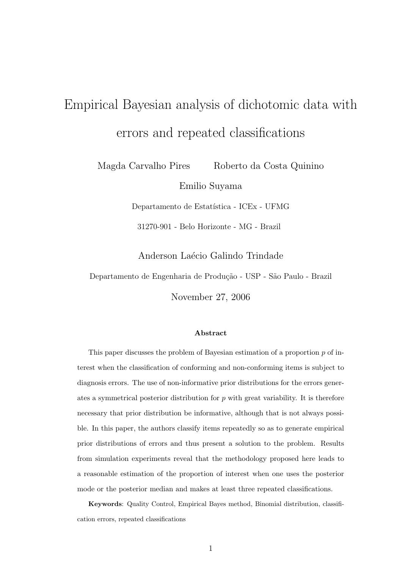# Empirical Bayesian analysis of dichotomic data with errors and repeated classifications

Magda Carvalho Pires Roberto da Costa Quinino

Emilio Suyama

Departamento de Estatística - ICEx - UFMG

31270-901 - Belo Horizonte - MG - Brazil

Anderson Laécio Galindo Trindade

Departamento de Engenharia de Produção - USP - São Paulo - Brazil

November 27, 2006

#### Abstract

This paper discusses the problem of Bayesian estimation of a proportion  $p$  of interest when the classification of conforming and non-conforming items is subject to diagnosis errors. The use of non-informative prior distributions for the errors generates a symmetrical posterior distribution for  $p$  with great variability. It is therefore necessary that prior distribution be informative, although that is not always possible. In this paper, the authors classify items repeatedly so as to generate empirical prior distributions of errors and thus present a solution to the problem. Results from simulation experiments reveal that the methodology proposed here leads to a reasonable estimation of the proportion of interest when one uses the posterior mode or the posterior median and makes at least three repeated classifications.

Keywords: Quality Control, Empirical Bayes method, Binomial distribution, classification errors, repeated classifications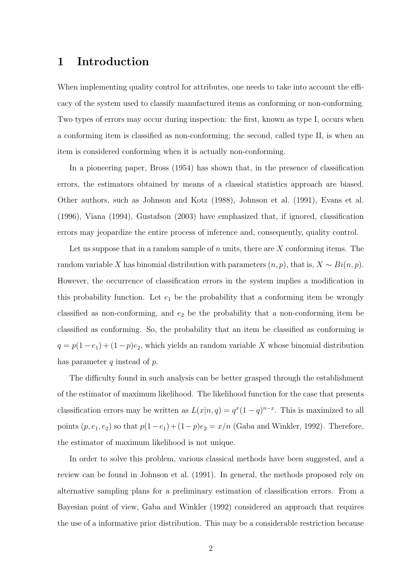### 1 Introduction

When implementing quality control for attributes, one needs to take into account the efficacy of the system used to classify manufactured items as conforming or non-conforming. Two types of errors may occur during inspection: the first, known as type I, occurs when a conforming item is classified as non-conforming; the second, called type II, is when an item is considered conforming when it is actually non-conforming.

In a pioneering paper, Bross (1954) has shown that, in the presence of classification errors, the estimators obtained by means of a classical statistics approach are biased. Other authors, such as Johnson and Kotz (1988), Johnson et al. (1991), Evans et al. (1996), Viana (1994), Gustafson (2003) have emphasized that, if ignored, classification errors may jeopardize the entire process of inference and, consequently, quality control.

Let us suppose that in a random sample of n units, there are  $X$  conforming items. The random variable X has binomial distribution with parameters  $(n, p)$ , that is,  $X \sim Bi(n, p)$ . However, the occurrence of classification errors in the system implies a modification in this probability function. Let  $e_1$  be the probability that a conforming item be wrongly classified as non-conforming, and  $e_2$  be the probability that a non-conforming item be classified as conforming. So, the probability that an item be classified as conforming is  $q = p(1 - e_1) + (1 - p)e_2$ , which yields an random variable X whose binomial distribution has parameter  $q$  instead of  $p$ .

The difficulty found in such analysis can be better grasped through the establishment of the estimator of maximum likelihood. The likelihood function for the case that presents classification errors may be written as  $L(x|n, q) = q^x(1-q)^{n-x}$ . This is maximized to all points  $(p, e_1, e_2)$  so that  $p(1-e_1) + (1-p)e_2 = x/n$  (Gaba and Winkler, 1992). Therefore, the estimator of maximum likelihood is not unique.

In order to solve this problem, various classical methods have been suggested, and a review can be found in Johnson et al. (1991). In general, the methods proposed rely on alternative sampling plans for a preliminary estimation of classification errors. From a Bayesian point of view, Gaba and Winkler (1992) considered an approach that requires the use of a informative prior distribution. This may be a considerable restriction because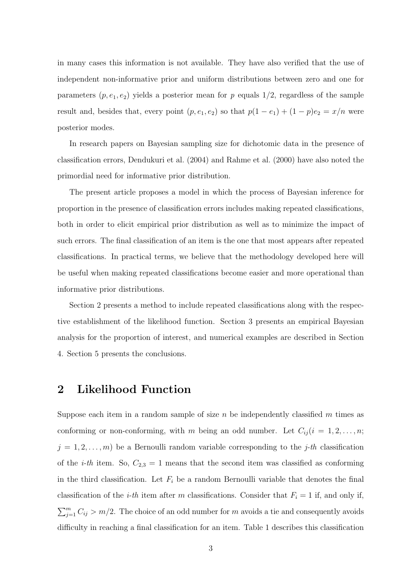in many cases this information is not available. They have also verified that the use of independent non-informative prior and uniform distributions between zero and one for parameters  $(p, e_1, e_2)$  yields a posterior mean for p equals 1/2, regardless of the sample result and, besides that, every point  $(p, e_1, e_2)$  so that  $p(1 - e_1) + (1 - p)e_2 = x/n$  were posterior modes.

In research papers on Bayesian sampling size for dichotomic data in the presence of classification errors, Dendukuri et al. (2004) and Rahme et al. (2000) have also noted the primordial need for informative prior distribution.

The present article proposes a model in which the process of Bayesian inference for proportion in the presence of classification errors includes making repeated classifications, both in order to elicit empirical prior distribution as well as to minimize the impact of such errors. The final classification of an item is the one that most appears after repeated classifications. In practical terms, we believe that the methodology developed here will be useful when making repeated classifications become easier and more operational than informative prior distributions.

Section 2 presents a method to include repeated classifications along with the respective establishment of the likelihood function. Section 3 presents an empirical Bayesian analysis for the proportion of interest, and numerical examples are described in Section 4. Section 5 presents the conclusions.

#### 2 Likelihood Function

Suppose each item in a random sample of size  $n$  be independently classified  $m$  times as conforming or non-conforming, with m being an odd number. Let  $C_{ij} (i = 1, 2, \ldots, n;$  $j = 1, 2, \ldots, m$  be a Bernoulli random variable corresponding to the j-th classification of the *i-th* item. So,  $C_{2,3} = 1$  means that the second item was classified as conforming in the third classification. Let  $F_i$  be a random Bernoulli variable that denotes the final classification of the *i-th* item after m classifications. Consider that  $F_i = 1$  if, and only if,  $\sum_{j=1}^{m} C_{ij} > m/2$ . The choice of an odd number for m avoids a tie and consequently avoids difficulty in reaching a final classification for an item. Table 1 describes this classification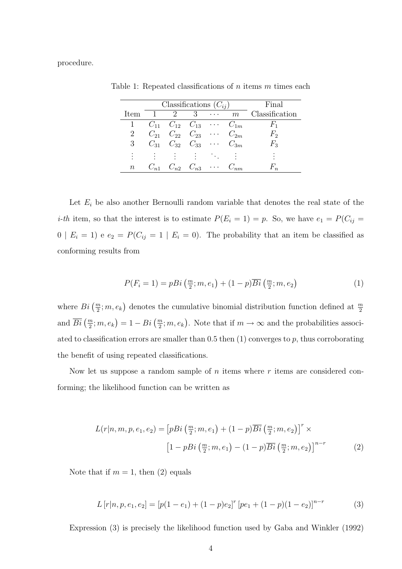procedure.

|            | Classifications $(C_{ij})$                     |                                              |                |  |  | Final                     |
|------------|------------------------------------------------|----------------------------------------------|----------------|--|--|---------------------------|
| Item       |                                                | $\overline{2}$                               | 3 <sup>3</sup> |  |  | $\cdots$ m Classification |
|            | 1 $C_{11}$ $C_{12}$ $C_{13}$ $\cdots$ $C_{1m}$ |                                              |                |  |  | $F_{1}$                   |
|            |                                                | $C_{21}$ $C_{22}$ $C_{23}$ $\cdots$ $C_{2m}$ |                |  |  | $F_2$                     |
| $3 -$      |                                                | $C_{31}$ $C_{32}$ $C_{33}$ $\cdots$ $C_{3m}$ |                |  |  | $F_3$                     |
| $\bullet$  |                                                |                                              |                |  |  |                           |
| $n_{\rm }$ |                                                | $C_{n1}$ $C_{n2}$ $C_{n3}$ $\cdots$          |                |  |  |                           |

Table 1: Repeated classifications of  $n$  items  $m$  times each

Let  $E_i$  be also another Bernoulli random variable that denotes the real state of the *i-th* item, so that the interest is to estimate  $P(E_i = 1) = p$ . So, we have  $e_1 = P(C_{ij} =$ 0 |  $E_i = 1$ ) e  $e_2 = P(C_{ij} = 1 | E_i = 0)$ . The probability that an item be classified as conforming results from

$$
P(F_i = 1) = pBi\left(\frac{m}{2}; m, e_1\right) + (1 - p)\overline{Bi}\left(\frac{m}{2}; m, e_2\right) \tag{1}
$$

where  $Bi\left(\frac{m}{2};m,e_k\right)$  denotes the cumulative binomial distribution function defined at  $\frac{m}{2}$ and  $\overline{Bi}(\frac{m}{2};m,e_k) = 1 - Bi(\frac{m}{2};m,e_k)$ . Note that if  $m \to \infty$  and the probabilities associated to classification errors are smaller than  $0.5$  then  $(1)$  converges to p, thus corroborating the benefit of using repeated classifications.

Now let us suppose a random sample of n items where  $r$  items are considered conforming; the likelihood function can be written as

$$
L(r|n, m, p, e_1, e_2) = \left[ pBi\left(\frac{m}{2}; m, e_1\right) + (1-p)\overline{Bi}\left(\frac{m}{2}; m, e_2\right) \right]^r \times
$$

$$
\left[ 1 - pBi\left(\frac{m}{2}; m, e_1\right) - (1-p)\overline{Bi}\left(\frac{m}{2}; m, e_2\right) \right]^{n-r}
$$
(2)

Note that if  $m = 1$ , then  $(2)$  equals

$$
L[r|n, p, e_1, e_2] = [p(1 - e_1) + (1 - p)e_2]^r [pe_1 + (1 - p)(1 - e_2)]^{n - r}
$$
 (3)

Expression (3) is precisely the likelihood function used by Gaba and Winkler (1992)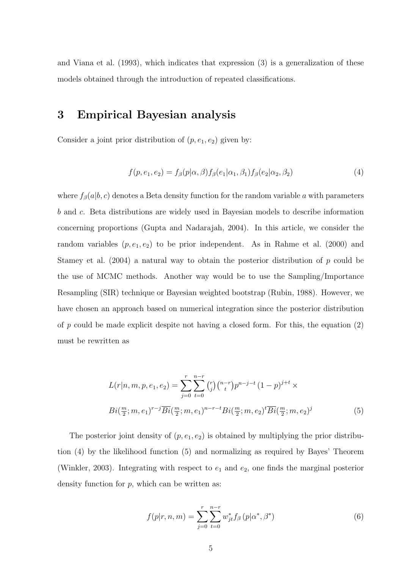and Viana et al. (1993), which indicates that expression (3) is a generalization of these models obtained through the introduction of repeated classifications.

### 3 Empirical Bayesian analysis

Consider a joint prior distribution of  $(p, e_1, e_2)$  given by:

$$
f(p, e_1, e_2) = f_\beta(p|\alpha, \beta) f_\beta(e_1|\alpha_1, \beta_1) f_\beta(e_2|\alpha_2, \beta_2)
$$
\n
$$
\tag{4}
$$

where  $f_\beta(a|b, c)$  denotes a Beta density function for the random variable a with parameters b and c. Beta distributions are widely used in Bayesian models to describe information concerning proportions (Gupta and Nadarajah, 2004). In this article, we consider the random variables  $(p, e_1, e_2)$  to be prior independent. As in Rahme et al. (2000) and Stamey et al.  $(2004)$  a natural way to obtain the posterior distribution of p could be the use of MCMC methods. Another way would be to use the Sampling/Importance Resampling (SIR) technique or Bayesian weighted bootstrap (Rubin, 1988). However, we have chosen an approach based on numerical integration since the posterior distribution of p could be made explicit despite not having a closed form. For this, the equation  $(2)$ must be rewritten as

$$
L(r|n, m, p, e_1, e_2) = \sum_{j=0}^{r} \sum_{t=0}^{n-r} {r \choose j} {n-r \choose t} p^{n-j-t} (1-p)^{j+t} \times
$$
  

$$
Bi(\frac{m}{2}; m, e_1)^{r-j} \overline{Bi}(\frac{m}{2}; m, e_1)^{n-r-t} Bi(\frac{m}{2}; m, e_2)^t \overline{Bi}(\frac{m}{2}; m, e_2)^j
$$
 (5)

The posterior joint density of  $(p, e_1, e_2)$  is obtained by multiplying the prior distribution (4) by the likelihood function (5) and normalizing as required by Bayes' Theorem (Winkler, 2003). Integrating with respect to  $e_1$  and  $e_2$ , one finds the marginal posterior density function for  $p$ , which can be written as:

$$
f(p|r, n, m) = \sum_{j=0}^{r} \sum_{t=0}^{n-r} w_{jt}^{*} f_{\beta} (p | \alpha^{*}, \beta^{*})
$$
 (6)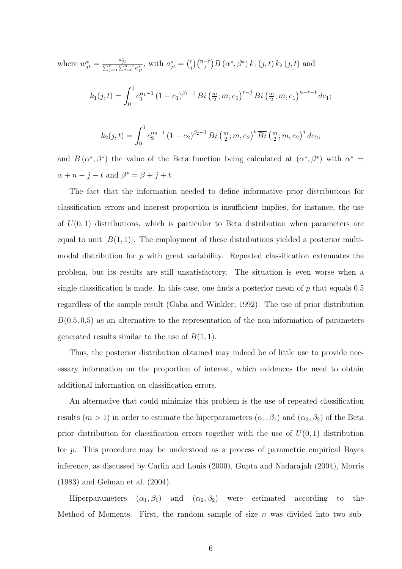where 
$$
w_{jt}^{*} = \frac{a_{jt}^{*}}{\sum_{j=0}^{r} \sum_{t=0}^{n-r} a_{jt}^{*}}
$$
, with  $a_{jt}^{*} = {r \choose j} {n-r \choose t} B(\alpha^{*}, \beta^{*}) k_{1}(j, t) k_{2}(j, t)$  and  
\n
$$
k_{1}(j,t) = \int_{0}^{1} e_{1}^{\alpha_{1}-1} (1 - e_{1})^{\beta_{1}-1} B_{i}(\frac{m}{2}; m, e_{1})^{r-j} \overline{Bi}(\frac{m}{2}; m, e_{1})^{n-r-t} de_{1};
$$
\n
$$
k_{2}(j,t) = \int_{0}^{1} e_{2}^{\alpha_{2}-1} (1 - e_{2})^{\beta_{2}-1} B_{i}(\frac{m}{2}; m, e_{2})^{t} \overline{Bi}(\frac{m}{2}; m, e_{2})^{j} de_{2};
$$

and  $B(\alpha^*,\beta^*)$  the value of the Beta function being calculated at  $(\alpha^*,\beta^*)$  with  $\alpha^*$  $\alpha + n - j - t$  and  $\beta^* = \beta + j + t$ .

The fact that the information needed to define informative prior distributions for classification errors and interest proportion is insufficient implies, for instance, the use of  $U(0, 1)$  distributions, which is particular to Beta distribution when parameters are equal to unit  $[B(1, 1)]$ . The employment of these distributions yielded a posterior multimodal distribution for  $p$  with great variability. Repeated classification extenuates the problem, but its results are still unsatisfactory. The situation is even worse when a single classification is made. In this case, one finds a posterior mean of  $p$  that equals 0.5 regardless of the sample result (Gaba and Winkler, 1992). The use of prior distribution  $B(0.5, 0.5)$  as an alternative to the representation of the non-information of parameters generated results similar to the use of  $B(1, 1)$ .

Thus, the posterior distribution obtained may indeed be of little use to provide necessary information on the proportion of interest, which evidences the need to obtain additional information on classification errors.

An alternative that could minimize this problem is the use of repeated classification results  $(m > 1)$  in order to estimate the hiperparameters  $(\alpha_1, \beta_1)$  and  $(\alpha_2, \beta_2)$  of the Beta prior distribution for classification errors together with the use of  $U(0, 1)$  distribution for p. This procedure may be understood as a process of parametric empirical Bayes inference, as discussed by Carlin and Louis (2000), Gupta and Nadarajah (2004), Morris (1983) and Gelman et al. (2004).

Hiperparameters  $(\alpha_1, \beta_1)$  and  $(\alpha_2, \beta_2)$  were estimated according to the Method of Moments. First, the random sample of size  $n$  was divided into two sub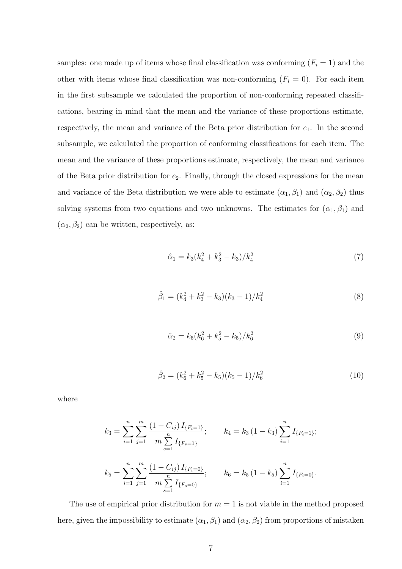samples: one made up of items whose final classification was conforming  $(F_i = 1)$  and the other with items whose final classification was non-conforming  $(F_i = 0)$ . For each item in the first subsample we calculated the proportion of non-conforming repeated classifications, bearing in mind that the mean and the variance of these proportions estimate, respectively, the mean and variance of the Beta prior distribution for  $e_1$ . In the second subsample, we calculated the proportion of conforming classifications for each item. The mean and the variance of these proportions estimate, respectively, the mean and variance of the Beta prior distribution for  $e_2$ . Finally, through the closed expressions for the mean and variance of the Beta distribution we were able to estimate  $(\alpha_1, \beta_1)$  and  $(\alpha_2, \beta_2)$  thus solving systems from two equations and two unknowns. The estimates for  $(\alpha_1, \beta_1)$  and  $(\alpha_2, \beta_2)$  can be written, respectively, as:

$$
\hat{\alpha}_1 = k_3 (k_4^2 + k_3^2 - k_3) / k_4^2 \tag{7}
$$

$$
\hat{\beta}_1 = (k_4^2 + k_3^2 - k_3)(k_3 - 1)/k_4^2 \tag{8}
$$

$$
\hat{\alpha}_2 = k_5 (k_6^2 + k_5^2 - k_5) / k_6^2 \tag{9}
$$

$$
\hat{\beta}_2 = (k_6^2 + k_5^2 - k_5)(k_5 - 1)/k_6^2 \tag{10}
$$

where

$$
k_3 = \sum_{i=1}^n \sum_{j=1}^m \frac{(1 - C_{ij}) I_{\{F_i = 1\}}}{m \sum_{s=1}^n I_{\{F_s = 1\}}};
$$

$$
k_4 = k_3 (1 - k_3) \sum_{i=1}^n I_{\{F_i = 1\}};
$$

$$
k_5 = \sum_{i=1}^n \sum_{j=1}^m \frac{(1 - C_{ij}) I_{\{F_i = 0\}}}{m \sum_{s=1}^n I_{\{F_s = 0\}}};
$$

$$
k_6 = k_5 (1 - k_5) \sum_{i=1}^n I_{\{F_i = 0\}}.
$$

The use of empirical prior distribution for  $m = 1$  is not viable in the method proposed here, given the impossibility to estimate  $(\alpha_1, \beta_1)$  and  $(\alpha_2, \beta_2)$  from proportions of mistaken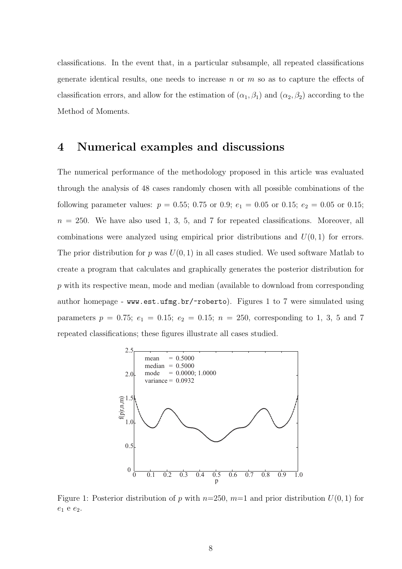classifications. In the event that, in a particular subsample, all repeated classifications generate identical results, one needs to increase n or  $m$  so as to capture the effects of classification errors, and allow for the estimation of  $(\alpha_1, \beta_1)$  and  $(\alpha_2, \beta_2)$  according to the Method of Moments.

#### 4 Numerical examples and discussions

The numerical performance of the methodology proposed in this article was evaluated through the analysis of 48 cases randomly chosen with all possible combinations of the following parameter values:  $p = 0.55$ ; 0.75 or 0.9;  $e_1 = 0.05$  or 0.15;  $e_2 = 0.05$  or 0.15;  $n = 250$ . We have also used 1, 3, 5, and 7 for repeated classifications. Moreover, all combinations were analyzed using empirical prior distributions and  $U(0, 1)$  for errors. The prior distribution for p was  $U(0, 1)$  in all cases studied. We used software Matlab to create a program that calculates and graphically generates the posterior distribution for p with its respective mean, mode and median (available to download from corresponding author homepage - www.est.ufmg.br/~roberto). Figures 1 to 7 were simulated using parameters  $p = 0.75$ ;  $e_1 = 0.15$ ;  $e_2 = 0.15$ ;  $n = 250$ , corresponding to 1, 3, 5 and 7 repeated classifications; these figures illustrate all cases studied.



Figure 1: Posterior distribution of p with  $n=250$ ,  $m=1$  and prior distribution  $U(0, 1)$  for  $e_1$  e  $e_2$ .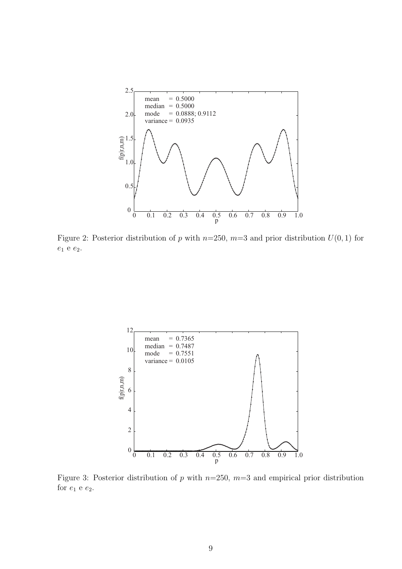

Figure 2: Posterior distribution of p with  $n=250$ ,  $m=3$  and prior distribution  $U(0, 1)$  for  $e_1$ e $e_2.$ 



Figure 3: Posterior distribution of p with  $n=250$ ,  $m=3$  and empirical prior distribution for  $e_1$  e  $e_2$ .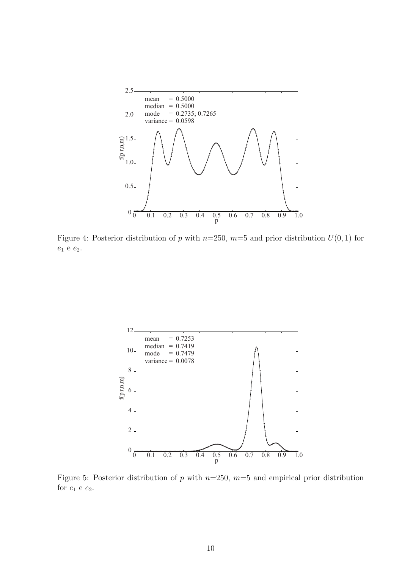

Figure 4: Posterior distribution of p with  $n=250$ ,  $m=5$  and prior distribution  $U(0, 1)$  for  $e_1$ e $e_2.$ 



Figure 5: Posterior distribution of p with  $n=250$ ,  $m=5$  and empirical prior distribution for  $e_1$  e  $e_2$ .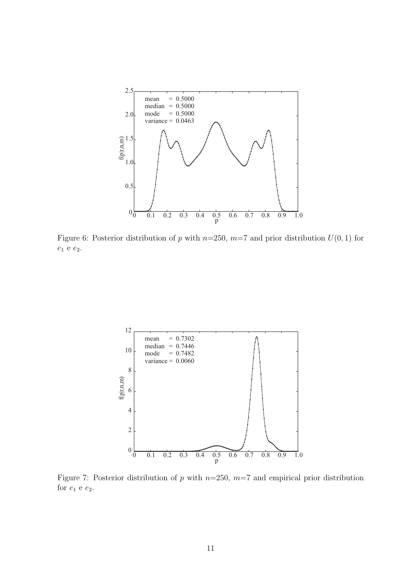

Figure 6: Posterior distribution of p with  $n=250$ ,  $m=7$  and prior distribution  $U(0, 1)$  for  $e_1$ e $e_2.$ 



Figure 7: Posterior distribution of p with  $n=250$ ,  $m=7$  and empirical prior distribution for  $e_1$  e  $e_2$ .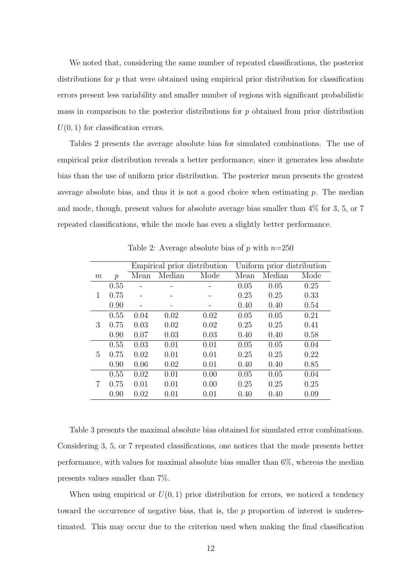We noted that, considering the same number of repeated classifications, the posterior distributions for p that were obtained using empirical prior distribution for classification errors present less variability and smaller number of regions with significant probabilistic mass in comparison to the posterior distributions for  $p$  obtained from prior distribution  $U(0, 1)$  for classification errors.

Tables 2 presents the average absolute bias for simulated combinations. The use of empirical prior distribution reveals a better performance, since it generates less absolute bias than the use of uniform prior distribution. The posterior mean presents the greatest average absolute bias, and thus it is not a good choice when estimating  $p$ . The median and mode, though, present values for absolute average bias smaller than 4% for 3, 5, or 7 repeated classifications, while the mode has even a slightly better performance.

|   |               | Empirical prior distribution |        |      | Uniform prior distribution |        |      |
|---|---------------|------------------------------|--------|------|----------------------------|--------|------|
| m | $\mathcal{p}$ | Mean                         | Median | Mode | Mean                       | Median | Mode |
|   | 0.55          |                              |        |      | 0.05                       | 0.05   | 0.25 |
| 1 | 0.75          |                              |        |      | 0.25                       | 0.25   | 0.33 |
|   | 0.90          |                              |        |      | 0.40                       | 0.40   | 0.54 |
|   | 0.55          | 0.04                         | 0.02   | 0.02 | 0.05                       | 0.05   | 0.21 |
| 3 | 0.75          | 0.03                         | 0.02   | 0.02 | 0.25                       | 0.25   | 0.41 |
|   | 0.90          | 0.07                         | 0.03   | 0.03 | 0.40                       | 0.40   | 0.58 |
|   | 0.55          | 0.03                         | 0.01   | 0.01 | 0.05                       | 0.05   | 0.04 |
| 5 | 0.75          | 0.02                         | 0.01   | 0.01 | 0.25                       | 0.25   | 0.22 |
|   | 0.90          | 0.06                         | 0.02   | 0.01 | 0.40                       | 0.40   | 0.85 |
|   | 0.55          | 0.02                         | 0.01   | 0.00 | 0.05                       | 0.05   | 0.04 |
| 7 | 0.75          | 0.01                         | 0.01   | 0.00 | 0.25                       | 0.25   | 0.25 |
|   | 0.90          | 0.02                         | 0.01   | 0.01 | 0.40                       | 0.40   | 0.09 |

Table 2: Average absolute bias of p with  $n=250$ 

Table 3 presents the maximal absolute bias obtained for simulated error combinations. Considering 3, 5, or 7 repeated classifications, one notices that the mode presents better performance, with values for maximal absolute bias smaller than 6%, whereas the median presents values smaller than 7%.

When using empirical or  $U(0, 1)$  prior distribution for errors, we noticed a tendency toward the occurrence of negative bias, that is, the  $p$  proportion of interest is underestimated. This may occur due to the criterion used when making the final classification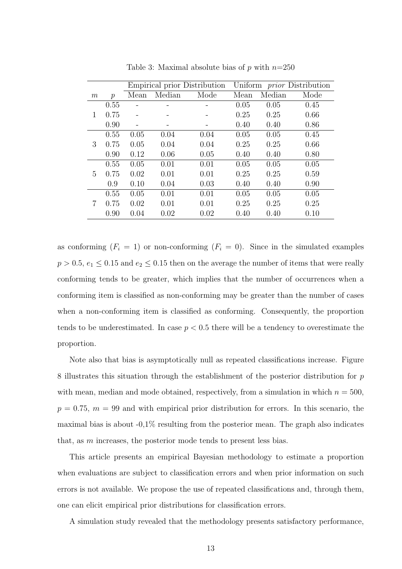|   |               |      |        |      | Empirical prior Distribution Uniform <i>prior</i> Distribution |        |      |
|---|---------------|------|--------|------|----------------------------------------------------------------|--------|------|
| m | $\mathcal{p}$ | Mean | Median | Mode | Mean                                                           | Median | Mode |
|   | 0.55          |      |        |      | 0.05                                                           | 0.05   | 0.45 |
| 1 | 0.75          |      |        |      | 0.25                                                           | 0.25   | 0.66 |
|   | 0.90          |      |        |      | 0.40                                                           | 0.40   | 0.86 |
|   | 0.55          | 0.05 | 0.04   | 0.04 | 0.05                                                           | 0.05   | 0.45 |
| 3 | 0.75          | 0.05 | 0.04   | 0.04 | 0.25                                                           | 0.25   | 0.66 |
|   | 0.90          | 0.12 | 0.06   | 0.05 | 0.40                                                           | 0.40   | 0.80 |
|   | 0.55          | 0.05 | 0.01   | 0.01 | 0.05                                                           | 0.05   | 0.05 |
| 5 | 0.75          | 0.02 | 0.01   | 0.01 | 0.25                                                           | 0.25   | 0.59 |
|   | 0.9           | 0.10 | 0.04   | 0.03 | 0.40                                                           | 0.40   | 0.90 |
|   | 0.55          | 0.05 | 0.01   | 0.01 | 0.05                                                           | 0.05   | 0.05 |
| 7 | 0.75          | 0.02 | 0.01   | 0.01 | 0.25                                                           | 0.25   | 0.25 |
|   | 0.90          | 0.04 | 0.02   | 0.02 | 0.40                                                           | 0.40   | 0.10 |

Table 3: Maximal absolute bias of p with  $n=250$ 

as conforming  $(F_i = 1)$  or non-conforming  $(F_i = 0)$ . Since in the simulated examples  $p > 0.5$ ,  $e_1 \leq 0.15$  and  $e_2 \leq 0.15$  then on the average the number of items that were really conforming tends to be greater, which implies that the number of occurrences when a conforming item is classified as non-conforming may be greater than the number of cases when a non-conforming item is classified as conforming. Consequently, the proportion tends to be underestimated. In case  $p < 0.5$  there will be a tendency to overestimate the proportion.

Note also that bias is asymptotically null as repeated classifications increase. Figure 8 illustrates this situation through the establishment of the posterior distribution for p with mean, median and mode obtained, respectively, from a simulation in which  $n = 500$ ,  $p = 0.75$ ,  $m = 99$  and with empirical prior distribution for errors. In this scenario, the maximal bias is about  $-0.1\%$  resulting from the posterior mean. The graph also indicates that, as m increases, the posterior mode tends to present less bias.

This article presents an empirical Bayesian methodology to estimate a proportion when evaluations are subject to classification errors and when prior information on such errors is not available. We propose the use of repeated classifications and, through them, one can elicit empirical prior distributions for classification errors.

A simulation study revealed that the methodology presents satisfactory performance,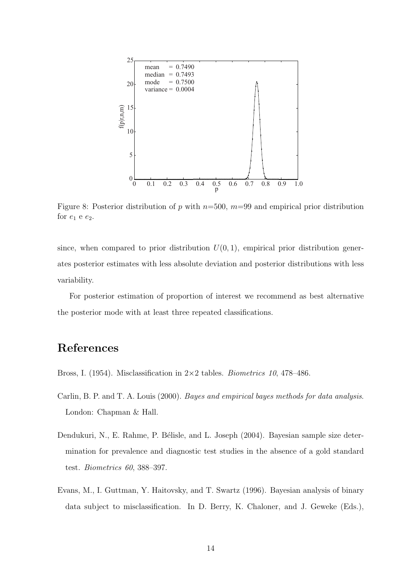

Figure 8: Posterior distribution of p with  $n=500$ ,  $m=99$  and empirical prior distribution for  $e_1$  e  $e_2$ .

since, when compared to prior distribution  $U(0, 1)$ , empirical prior distribution generates posterior estimates with less absolute deviation and posterior distributions with less variability.

For posterior estimation of proportion of interest we recommend as best alternative the posterior mode with at least three repeated classifications.

## References

- Bross, I. (1954). Misclassification in  $2\times 2$  tables. *Biometrics 10*, 478–486.
- Carlin, B. P. and T. A. Louis (2000). Bayes and empirical bayes methods for data analysis. London: Chapman & Hall.
- Dendukuri, N., E. Rahme, P. Bélisle, and L. Joseph (2004). Bayesian sample size determination for prevalence and diagnostic test studies in the absence of a gold standard test. Biometrics 60, 388–397.
- Evans, M., I. Guttman, Y. Haitovsky, and T. Swartz (1996). Bayesian analysis of binary data subject to misclassification. In D. Berry, K. Chaloner, and J. Geweke (Eds.),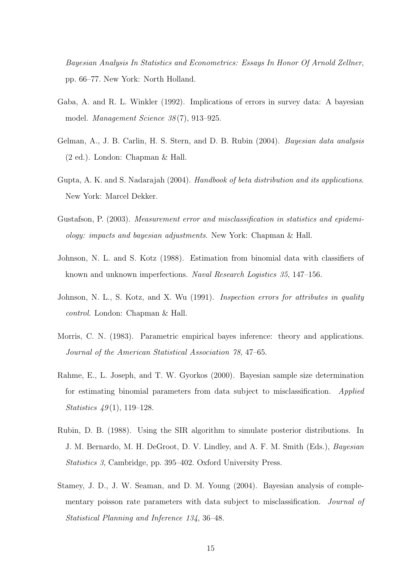Bayesian Analysis In Statistics and Econometrics: Essays In Honor Of Arnold Zellner, pp. 66–77. New York: North Holland.

- Gaba, A. and R. L. Winkler (1992). Implications of errors in survey data: A bayesian model. Management Science 38 (7), 913–925.
- Gelman, A., J. B. Carlin, H. S. Stern, and D. B. Rubin (2004). Bayesian data analysis (2 ed.). London: Chapman & Hall.
- Gupta, A. K. and S. Nadarajah (2004). Handbook of beta distribution and its applications. New York: Marcel Dekker.
- Gustafson, P. (2003). Measurement error and misclassification in statistics and epidemiology: impacts and bayesian adjustments. New York: Chapman & Hall.
- Johnson, N. L. and S. Kotz (1988). Estimation from binomial data with classifiers of known and unknown imperfections. Naval Research Logistics 35, 147–156.
- Johnson, N. L., S. Kotz, and X. Wu (1991). *Inspection errors for attributes in quality* control. London: Chapman & Hall.
- Morris, C. N. (1983). Parametric empirical bayes inference: theory and applications. Journal of the American Statistical Association 78, 47–65.
- Rahme, E., L. Joseph, and T. W. Gyorkos (2000). Bayesian sample size determination for estimating binomial parameters from data subject to misclassification. Applied *Statistics*  $49(1)$ , 119–128.
- Rubin, D. B. (1988). Using the SIR algorithm to simulate posterior distributions. In J. M. Bernardo, M. H. DeGroot, D. V. Lindley, and A. F. M. Smith (Eds.), Bayesian Statistics 3, Cambridge, pp. 395–402. Oxford University Press.
- Stamey, J. D., J. W. Seaman, and D. M. Young (2004). Bayesian analysis of complementary poisson rate parameters with data subject to misclassification. Journal of Statistical Planning and Inference 134, 36–48.